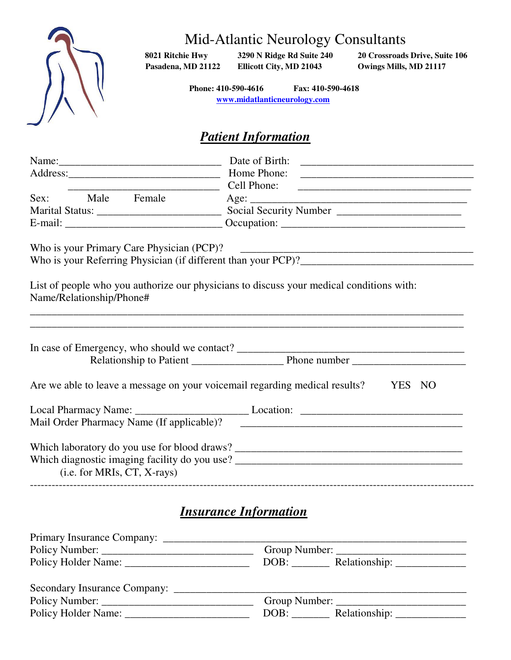

# Mid-Atlantic Neurology Consultants

 **Pasadena, MD 21122 Ellicott City, MD 21043 Owings Mills, MD 21117** 

**8021 Ritchie Hwy 3290 N Ridge Rd Suite 240 20 Crossroads Drive, Suite 106** 

 **Phone: 410-590-4616 Fax: 410-590-4618 [www.midatlanticneurology.com](http://www.midatlanticneurology.com/)**

# *Patient Information*

| <u> 1980 - Jan James James, martin amerikan personal (</u> | Cell Phone:                                                                                                                                                                                                                                                      |  |  |
|------------------------------------------------------------|------------------------------------------------------------------------------------------------------------------------------------------------------------------------------------------------------------------------------------------------------------------|--|--|
| Sex: Male Female                                           |                                                                                                                                                                                                                                                                  |  |  |
|                                                            |                                                                                                                                                                                                                                                                  |  |  |
|                                                            |                                                                                                                                                                                                                                                                  |  |  |
| Who is your Primary Care Physician (PCP)?                  |                                                                                                                                                                                                                                                                  |  |  |
|                                                            |                                                                                                                                                                                                                                                                  |  |  |
| Name/Relationship/Phone#                                   | List of people who you authorize our physicians to discuss your medical conditions with:<br>,我们也不会有什么。""我们的人,我们也不会有什么?""我们的人,我们也不会有什么?""我们的人,我们也不会有什么?""我们的人,我们也不会有什么?""我们的人<br>,我们也不会有什么。""我们的人,我们也不会有什么?""我们的人,我们也不会有什么?""我们的人,我们也不会有什么?""我们的人,我们也不会有什么?""我们的人 |  |  |
|                                                            |                                                                                                                                                                                                                                                                  |  |  |
|                                                            | Are we able to leave a message on your voicemail regarding medical results? YES NO                                                                                                                                                                               |  |  |
|                                                            |                                                                                                                                                                                                                                                                  |  |  |
| Mail Order Pharmacy Name (If applicable)?                  |                                                                                                                                                                                                                                                                  |  |  |
|                                                            |                                                                                                                                                                                                                                                                  |  |  |
| $(i.e. for MRIs, CT, X-rays)$                              |                                                                                                                                                                                                                                                                  |  |  |
|                                                            | <b>Insurance Information</b>                                                                                                                                                                                                                                     |  |  |
|                                                            | Group Number:                                                                                                                                                                                                                                                    |  |  |
|                                                            |                                                                                                                                                                                                                                                                  |  |  |

| Policy Holder Name:          | Relationship:<br>DOB: |
|------------------------------|-----------------------|
| Secondary Insurance Company: |                       |
| Policy Number:               | Group Number:         |
| Policy Holder Name:          | Relationship:         |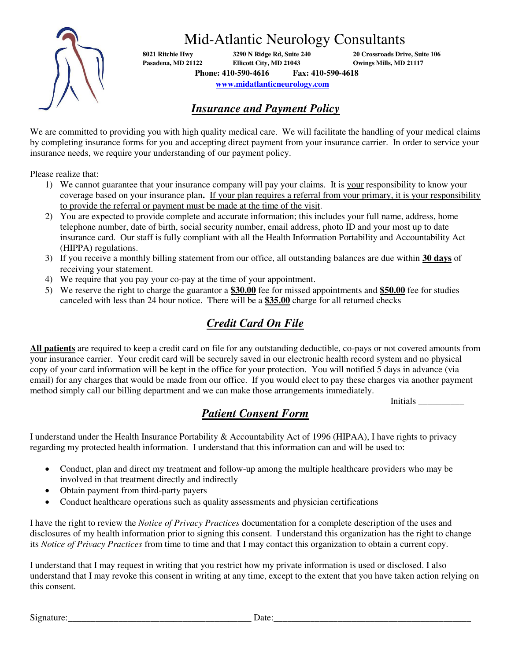

Mid-Atlantic Neurology Consultants

**8021 Ritchie Hwy 3290 N Ridge Rd, Suite 240 20 Crossroads Drive, Suite 106 Pasadena, MD 21122 Ellicott City, MD 21043 Owings Mills, MD 21117 Phone: 410-590-4616 Fax: 410-590-4618** 

 **[www.midatlanticneurology.com](http://www.midatlanticneurology.com/)**

## *Insurance and Payment Policy*

We are committed to providing you with high quality medical care. We will facilitate the handling of your medical claims by completing insurance forms for you and accepting direct payment from your insurance carrier. In order to service your insurance needs, we require your understanding of our payment policy.

Please realize that:

- 1) We cannot guarantee that your insurance company will pay your claims. It is your responsibility to know your coverage based on your insurance plan**.** If your plan requires a referral from your primary, it is your responsibility to provide the referral or payment must be made at the time of the visit.
- 2) You are expected to provide complete and accurate information; this includes your full name, address, home telephone number, date of birth, social security number, email address, photo ID and your most up to date insurance card. Our staff is fully compliant with all the Health Information Portability and Accountability Act (HIPPA) regulations.
- 3) If you receive a monthly billing statement from our office, all outstanding balances are due within **30 days** of receiving your statement.
- 4) We require that you pay your co-pay at the time of your appointment.
- 5) We reserve the right to charge the guarantor a **\$30.00** fee for missed appointments and **\$50.00** fee for studies canceled with less than 24 hour notice. There will be a **\$35.00** charge for all returned checks

## *Credit Card On File*

**All patients** are required to keep a credit card on file for any outstanding deductible, co-pays or not covered amounts from your insurance carrier. Your credit card will be securely saved in our electronic health record system and no physical copy of your card information will be kept in the office for your protection. You will notified 5 days in advance (via email) for any charges that would be made from our office. If you would elect to pay these charges via another payment method simply call our billing department and we can make those arrangements immediately.

Initials \_\_\_\_\_\_\_\_\_\_

# *Patient Consent Form*

I understand under the Health Insurance Portability & Accountability Act of 1996 (HIPAA), I have rights to privacy regarding my protected health information. I understand that this information can and will be used to:

- Conduct, plan and direct my treatment and follow-up among the multiple healthcare providers who may be involved in that treatment directly and indirectly
- Obtain payment from third-party payers
- Conduct healthcare operations such as quality assessments and physician certifications

I have the right to review the *Notice of Privacy Practices* documentation for a complete description of the uses and disclosures of my health information prior to signing this consent. I understand this organization has the right to change its *Notice of Privacy Practices* from time to time and that I may contact this organization to obtain a current copy.

I understand that I may request in writing that you restrict how my private information is used or disclosed. I also understand that I may revoke this consent in writing at any time, except to the extent that you have taken action relying on this consent.

Signature:\_\_\_\_\_\_\_\_\_\_\_\_\_\_\_\_\_\_\_\_\_\_\_\_\_\_\_\_\_\_\_\_\_\_\_\_\_\_\_\_ Date:\_\_\_\_\_\_\_\_\_\_\_\_\_\_\_\_\_\_\_\_\_\_\_\_\_\_\_\_\_\_\_\_\_\_\_\_\_\_\_\_\_\_\_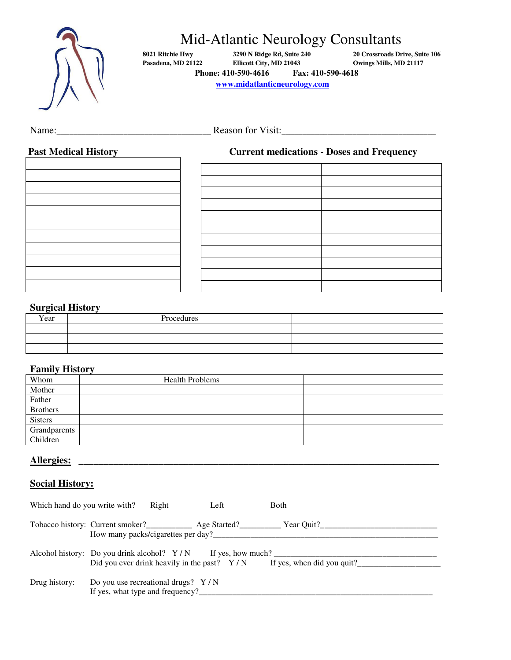

# Mid-Atlantic Neurology Consultants

**8021 Ritchie Hwy 3290 N Ridge Rd, Suite 240 20 Crossroads Drive, Suite 106 Phone: 410-590-4616 Fax: 410-590-4618** 

**Payabel Pasadena, MD 21117** 

 **[www.midatlanticneurology.com](http://www.midatlanticneurology.com/)**

## Name:\_\_\_\_\_\_\_\_\_\_\_\_\_\_\_\_\_\_\_\_\_\_\_\_\_\_\_\_\_\_\_\_\_\_\_\_\_ Reason for Visit:\_\_\_\_\_\_\_\_\_\_\_\_\_\_\_\_\_\_\_\_\_\_\_\_\_\_\_\_\_\_\_\_\_\_\_\_\_

#### **Past Medical History Current medications - Doses and Frequency**

| $\mathbf{r}$ and measurement $\mathbf{r}$ |  |  |  |
|-------------------------------------------|--|--|--|
|                                           |  |  |  |
|                                           |  |  |  |
|                                           |  |  |  |
|                                           |  |  |  |
|                                           |  |  |  |
|                                           |  |  |  |
|                                           |  |  |  |
|                                           |  |  |  |
|                                           |  |  |  |
|                                           |  |  |  |
|                                           |  |  |  |
|                                           |  |  |  |
|                                           |  |  |  |
|                                           |  |  |  |
|                                           |  |  |  |
|                                           |  |  |  |
|                                           |  |  |  |
|                                           |  |  |  |
|                                           |  |  |  |
|                                           |  |  |  |
|                                           |  |  |  |
|                                           |  |  |  |
|                                           |  |  |  |
|                                           |  |  |  |
|                                           |  |  |  |
|                                           |  |  |  |
|                                           |  |  |  |
|                                           |  |  |  |
|                                           |  |  |  |
|                                           |  |  |  |
|                                           |  |  |  |
|                                           |  |  |  |
|                                           |  |  |  |

#### **Surgical History**

| Year | Procedures |  |
|------|------------|--|
|      |            |  |
|      |            |  |
|      |            |  |

#### **Family History**

| Whom            | <b>Health Problems</b> |  |
|-----------------|------------------------|--|
| Mother          |                        |  |
| Father          |                        |  |
| <b>Brothers</b> |                        |  |
| <b>Sisters</b>  |                        |  |
| Grandparents    |                        |  |
| Children        |                        |  |

#### **Allergies:** \_\_\_\_\_\_\_\_\_\_\_\_\_\_\_\_\_\_\_\_\_\_\_\_\_\_\_\_\_\_\_\_\_\_\_\_\_\_\_\_\_\_\_\_\_\_\_\_\_\_\_\_\_\_\_\_\_\_\_\_\_\_\_\_\_\_\_\_\_\_\_\_

### **Social History:**

| Which hand do you write with? | Right                                | Left | <b>Both</b>                                                                                                                                |
|-------------------------------|--------------------------------------|------|--------------------------------------------------------------------------------------------------------------------------------------------|
|                               |                                      |      | How many packs/cigarettes per day?                                                                                                         |
|                               |                                      |      | Alcohol history: Do you drink alcohol? $Y/N$ If yes, how much?<br>Did you ever drink heavily in the past? $Y/N$ If yes, when did you quit? |
| Drug history:                 | Do you use recreational drugs? $Y/N$ |      |                                                                                                                                            |